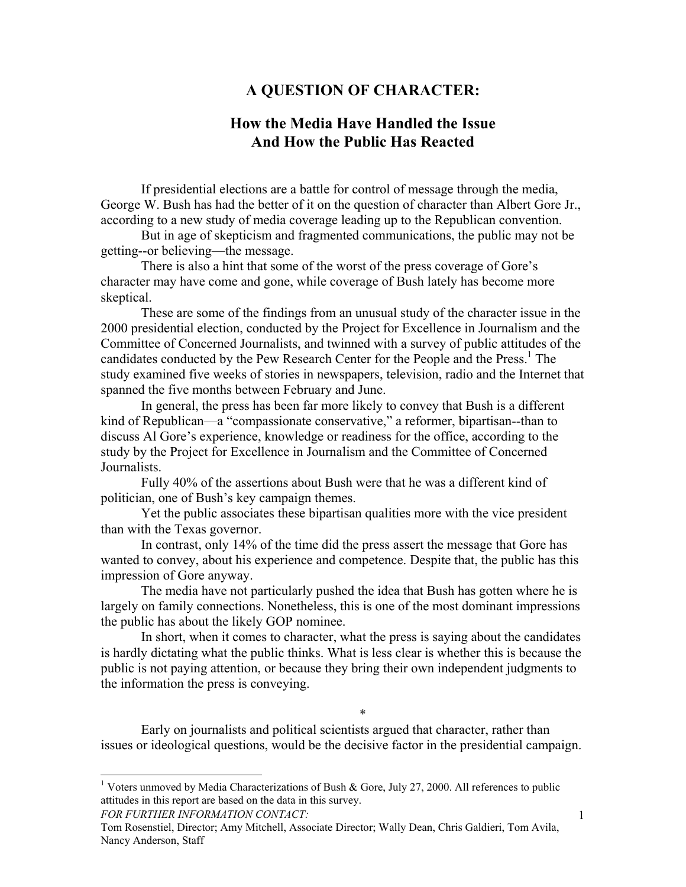# **A QUESTION OF CHARACTER:**

# **How the Media Have Handled the Issue And How the Public Has Reacted**

If presidential elections are a battle for control of message through the media, George W. Bush has had the better of it on the question of character than Albert Gore Jr., according to a new study of media coverage leading up to the Republican convention.

But in age of skepticism and fragmented communications, the public may not be getting--or believing—the message.

There is also a hint that some of the worst of the press coverage of Gore's character may have come and gone, while coverage of Bush lately has become more skeptical.

These are some of the findings from an unusual study of the character issue in the 2000 presidential election, conducted by the Project for Excellence in Journalism and the Committee of Concerned Journalists, and twinned with a survey of public attitudes of the candidates conducted by the Pew Research Center for the People and the Press.<sup>[1](#page-0-0)</sup> The study examined five weeks of stories in newspapers, television, radio and the Internet that spanned the five months between February and June.

In general, the press has been far more likely to convey that Bush is a different kind of Republican—a "compassionate conservative," a reformer, bipartisan--than to discuss Al Gore's experience, knowledge or readiness for the office, according to the study by the Project for Excellence in Journalism and the Committee of Concerned Journalists.

Fully 40% of the assertions about Bush were that he was a different kind of politician, one of Bush's key campaign themes.

Yet the public associates these bipartisan qualities more with the vice president than with the Texas governor.

In contrast, only 14% of the time did the press assert the message that Gore has wanted to convey, about his experience and competence. Despite that, the public has this impression of Gore anyway.

The media have not particularly pushed the idea that Bush has gotten where he is largely on family connections. Nonetheless, this is one of the most dominant impressions the public has about the likely GOP nominee.

In short, when it comes to character, what the press is saying about the candidates is hardly dictating what the public thinks. What is less clear is whether this is because the public is not paying attention, or because they bring their own independent judgments to the information the press is conveying.

Early on journalists and political scientists argued that character, rather than issues or ideological questions, would be the decisive factor in the presidential campaign.

\*

*FOR FURTHER INFORMATION CONTACT:*

l

<span id="page-0-0"></span><sup>&</sup>lt;sup>1</sup> Voters unmoved by Media Characterizations of Bush & Gore, July 27, 2000. All references to public attitudes in this report are based on the data in this survey.

Tom Rosenstiel, Director; Amy Mitchell, Associate Director; Wally Dean, Chris Galdieri, Tom Avila, Nancy Anderson, Staff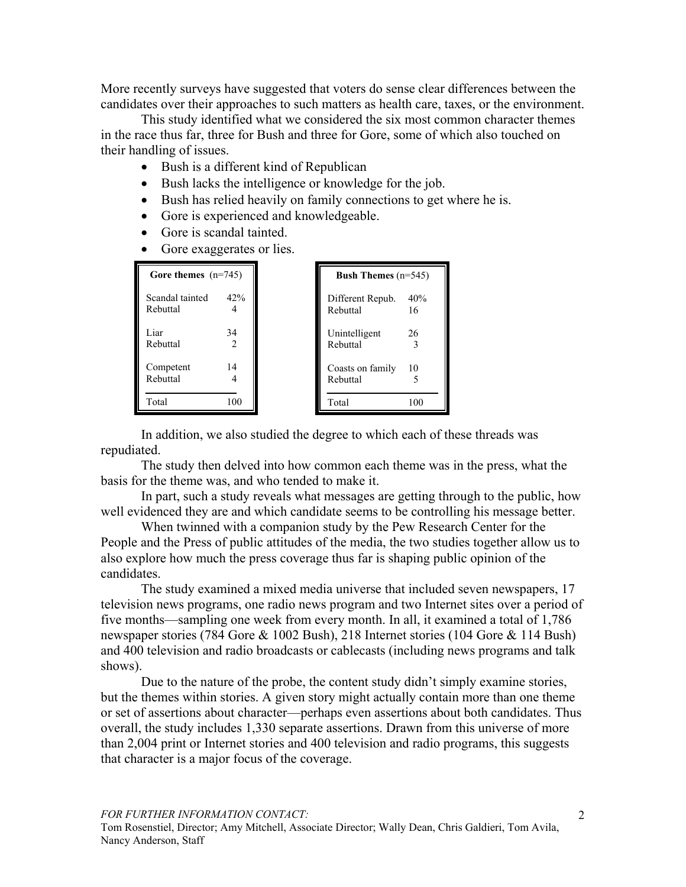More recently surveys have suggested that voters do sense clear differences between the candidates over their approaches to such matters as health care, taxes, or the environment.

This study identified what we considered the six most common character themes in the race thus far, three for Bush and three for Gore, some of which also touched on their handling of issues.

- Bush is a different kind of Republican
- Bush lacks the intelligence or knowledge for the job.
- Bush has relied heavily on family connections to get where he is.
- Gore is experienced and knowledgeable.
- Gore is scandal tainted.
- Gore exaggerates or lies.

| Gore themes $(n=745)$       |                      | <b>Bush Themes</b> $(n=545)$ |           |
|-----------------------------|----------------------|------------------------------|-----------|
| Scandal tainted<br>Rebuttal | 42%                  | Different Repub.<br>Rebuttal | 40%<br>16 |
| Liar<br>Rebuttal            | 34<br>$\overline{2}$ | Unintelligent<br>Rebuttal    | 26        |
| Competent<br>Rebuttal       | 14                   | Coasts on family<br>Rebuttal | 10        |
| Total                       | 100                  | Total                        | 100       |

In addition, we also studied the degree to which each of these threads was repudiated.

The study then delved into how common each theme was in the press, what the basis for the theme was, and who tended to make it.

In part, such a study reveals what messages are getting through to the public, how well evidenced they are and which candidate seems to be controlling his message better.

When twinned with a companion study by the Pew Research Center for the People and the Press of public attitudes of the media, the two studies together allow us to also explore how much the press coverage thus far is shaping public opinion of the candidates.

The study examined a mixed media universe that included seven newspapers, 17 television news programs, one radio news program and two Internet sites over a period of five months—sampling one week from every month. In all, it examined a total of 1,786 newspaper stories (784 Gore & 1002 Bush), 218 Internet stories (104 Gore & 114 Bush) and 400 television and radio broadcasts or cablecasts (including news programs and talk shows).

Due to the nature of the probe, the content study didn't simply examine stories, but the themes within stories. A given story might actually contain more than one theme or set of assertions about character—perhaps even assertions about both candidates. Thus overall, the study includes 1,330 separate assertions. Drawn from this universe of more than 2,004 print or Internet stories and 400 television and radio programs, this suggests that character is a major focus of the coverage.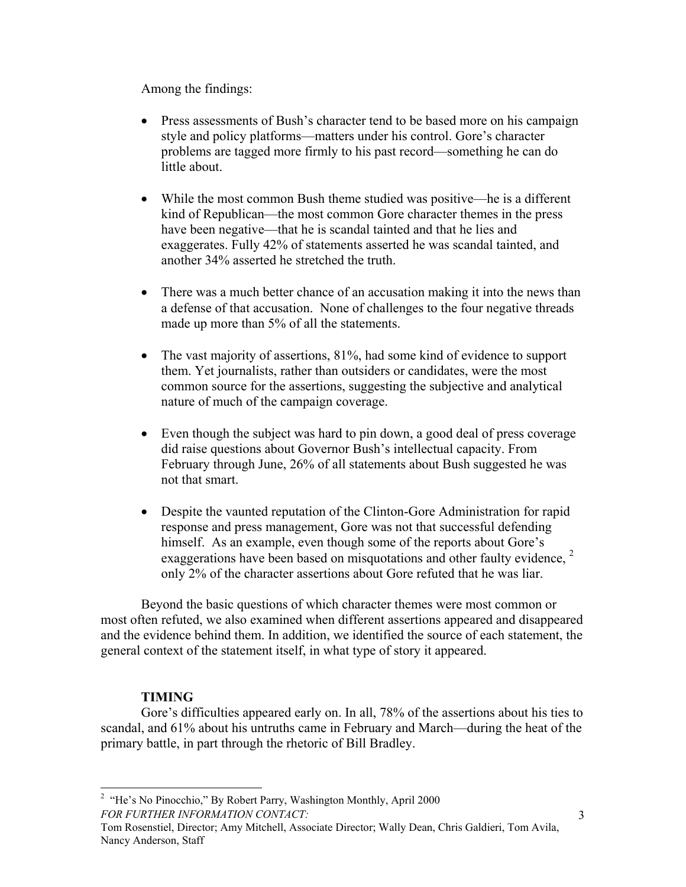Among the findings:

- Press assessments of Bush's character tend to be based more on his campaign style and policy platforms—matters under his control. Gore's character problems are tagged more firmly to his past record—something he can do little about.
- While the most common Bush theme studied was positive—he is a different kind of Republican—the most common Gore character themes in the press have been negative—that he is scandal tainted and that he lies and exaggerates. Fully 42% of statements asserted he was scandal tainted, and another 34% asserted he stretched the truth.
- There was a much better chance of an accusation making it into the news than a defense of that accusation. None of challenges to the four negative threads made up more than 5% of all the statements.
- The vast majority of assertions, 81%, had some kind of evidence to support them. Yet journalists, rather than outsiders or candidates, were the most common source for the assertions, suggesting the subjective and analytical nature of much of the campaign coverage.
- Even though the subject was hard to pin down, a good deal of press coverage did raise questions about Governor Bush's intellectual capacity. From February through June, 26% of all statements about Bush suggested he was not that smart.
- Despite the vaunted reputation of the Clinton-Gore Administration for rapid response and press management, Gore was not that successful defending himself. As an example, even though some of the reports about Gore's exaggerations have been based on misquotations and other faulty evidence, <sup>[2](#page-2-0)</sup> only 2% of the character assertions about Gore refuted that he was liar.

Beyond the basic questions of which character themes were most common or most often refuted, we also examined when different assertions appeared and disappeared and the evidence behind them. In addition, we identified the source of each statement, the general context of the statement itself, in what type of story it appeared.

# **TIMING**

l

Gore's difficulties appeared early on. In all, 78% of the assertions about his ties to scandal, and 61% about his untruths came in February and March—during the heat of the primary battle, in part through the rhetoric of Bill Bradley.

<span id="page-2-0"></span>*FOR FURTHER INFORMATION CONTACT:* <sup>2</sup> "He's No Pinocchio," By Robert Parry, Washington Monthly, April 2000

Tom Rosenstiel, Director; Amy Mitchell, Associate Director; Wally Dean, Chris Galdieri, Tom Avila, Nancy Anderson, Staff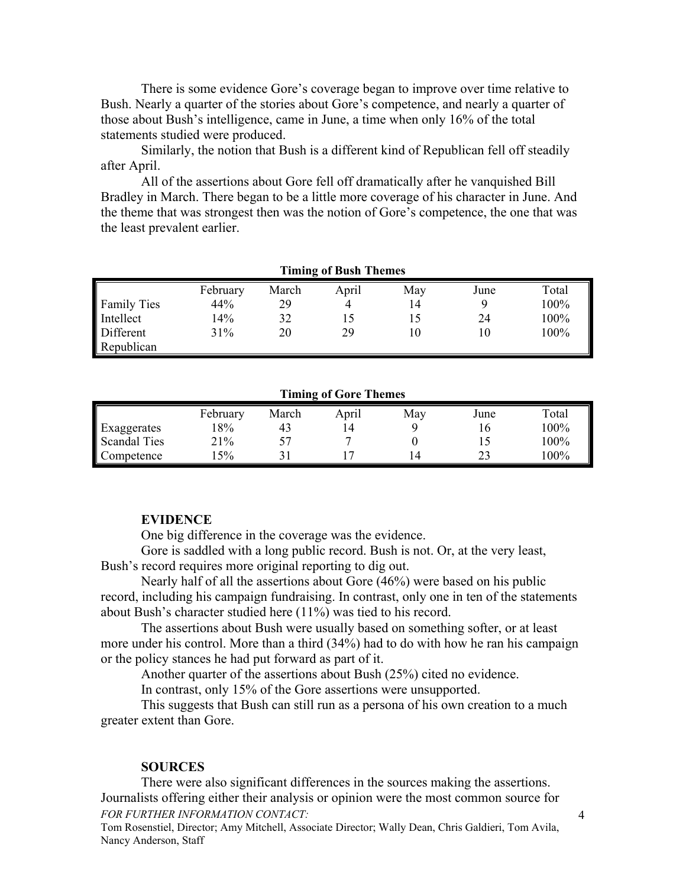There is some evidence Gore's coverage began to improve over time relative to Bush. Nearly a quarter of the stories about Gore's competence, and nearly a quarter of those about Bush's intelligence, came in June, a time when only 16% of the total statements studied were produced.

Similarly, the notion that Bush is a different kind of Republican fell off steadily after April.

All of the assertions about Gore fell off dramatically after he vanquished Bill Bradley in March. There began to be a little more coverage of his character in June. And the theme that was strongest then was the notion of Gore's competence, the one that was the least prevalent earlier.

| THEFT OF DUST THEFTER |          |       |       |     |      |       |
|-----------------------|----------|-------|-------|-----|------|-------|
|                       | February | March | April | May | June | Total |
| <b>Family Ties</b>    | 44%      | 29    | 4     | 14  |      | 100%  |
| Intellect             | 14%      | 32    | 15    |     | 24   | 100%  |
| Different             | 31%      | 20    | 29    | ١O  |      | 100%  |
| Republican            |          |       |       |     |      |       |

#### **Timing of Bush Themes**

**Timing of Gore Themes** 

|                     | February | March | April | May | June | Total |
|---------------------|----------|-------|-------|-----|------|-------|
| Exaggerates         | 8%       | 43    | ۱4    |     |      | 100%  |
| <b>Scandal Ties</b> | 21%      |       |       |     |      | 100%  |
| Competence          | $5\%$    |       |       | 4   |      | 00%   |

## **EVIDENCE**

One big difference in the coverage was the evidence.

Gore is saddled with a long public record. Bush is not. Or, at the very least, Bush's record requires more original reporting to dig out.

Nearly half of all the assertions about Gore (46%) were based on his public record, including his campaign fundraising. In contrast, only one in ten of the statements about Bush's character studied here (11%) was tied to his record.

The assertions about Bush were usually based on something softer, or at least more under his control. More than a third (34%) had to do with how he ran his campaign or the policy stances he had put forward as part of it.

Another quarter of the assertions about Bush (25%) cited no evidence.

In contrast, only 15% of the Gore assertions were unsupported.

This suggests that Bush can still run as a persona of his own creation to a much greater extent than Gore.

### **SOURCES**

There were also significant differences in the sources making the assertions. Journalists offering either their analysis or opinion were the most common source for *FOR FURTHER INFORMATION CONTACT:*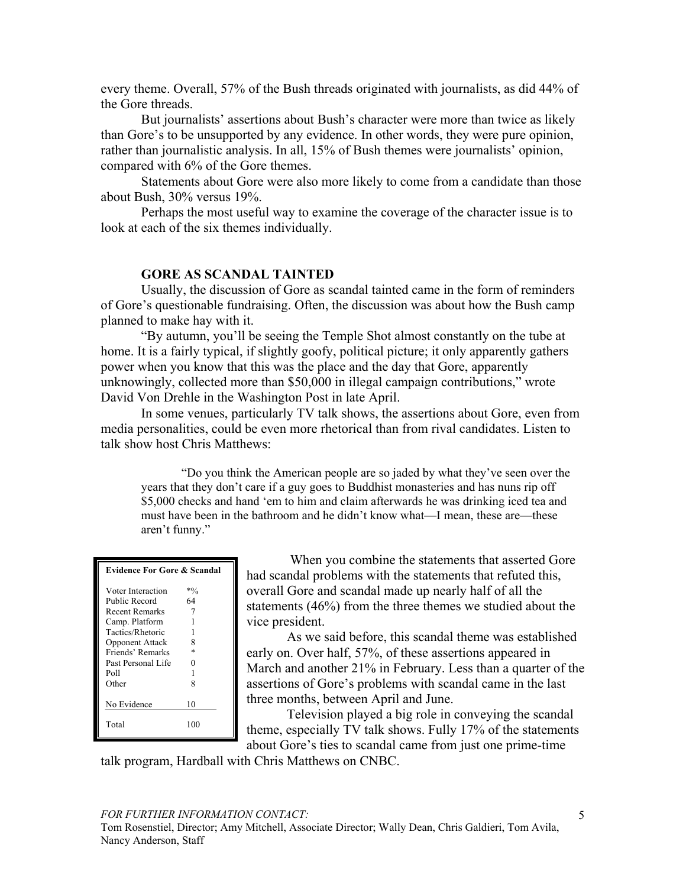every theme. Overall, 57% of the Bush threads originated with journalists, as did 44% of the Gore threads.

But journalists' assertions about Bush's character were more than twice as likely than Gore's to be unsupported by any evidence. In other words, they were pure opinion, rather than journalistic analysis. In all, 15% of Bush themes were journalists' opinion, compared with 6% of the Gore themes.

Statements about Gore were also more likely to come from a candidate than those about Bush, 30% versus 19%.

Perhaps the most useful way to examine the coverage of the character issue is to look at each of the six themes individually.

## **GORE AS SCANDAL TAINTED**

Usually, the discussion of Gore as scandal tainted came in the form of reminders of Gore's questionable fundraising. Often, the discussion was about how the Bush camp planned to make hay with it.

"By autumn, you'll be seeing the Temple Shot almost constantly on the tube at home. It is a fairly typical, if slightly goofy, political picture; it only apparently gathers power when you know that this was the place and the day that Gore, apparently unknowingly, collected more than \$50,000 in illegal campaign contributions," wrote David Von Drehle in the Washington Post in late April.

In some venues, particularly TV talk shows, the assertions about Gore, even from media personalities, could be even more rhetorical than from rival candidates. Listen to talk show host Chris Matthews:

"Do you think the American people are so jaded by what they've seen over the years that they don't care if a guy goes to Buddhist monasteries and has nuns rip off \$5,000 checks and hand 'em to him and claim afterwards he was drinking iced tea and must have been in the bathroom and he didn't know what—I mean, these are—these aren't funny."

| <b>Evidence For Gore &amp; Scandal</b> |        |  |  |
|----------------------------------------|--------|--|--|
| Voter Interaction                      | $*9/0$ |  |  |
| Public Record                          | 64     |  |  |
| Recent Remarks                         | 7      |  |  |
| Camp. Platform                         |        |  |  |
| Tactics/Rhetoric                       |        |  |  |
| <b>Opponent Attack</b>                 | 8      |  |  |
| Friends' Remarks                       | $\ast$ |  |  |
| Past Personal Life                     | 0      |  |  |
| Poll                                   | 1      |  |  |
| Other                                  | 8      |  |  |
| No Evidence                            | 10     |  |  |
| Total                                  | 100    |  |  |

 When you combine the statements that asserted Gore had scandal problems with the statements that refuted this, overall Gore and scandal made up nearly half of all the statements (46%) from the three themes we studied about the vice president.

As we said before, this scandal theme was established early on. Over half, 57%, of these assertions appeared in March and another 21% in February. Less than a quarter of the assertions of Gore's problems with scandal came in the last three months, between April and June.

Television played a big role in conveying the scandal theme, especially TV talk shows. Fully 17% of the statements about Gore's ties to scandal came from just one prime-time

talk program, Hardball with Chris Matthews on CNBC.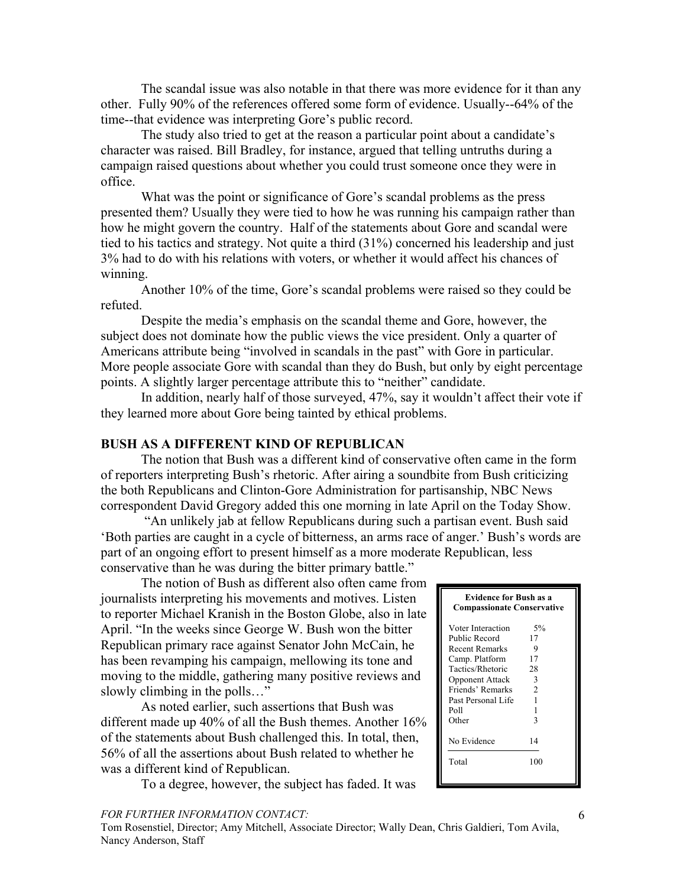The scandal issue was also notable in that there was more evidence for it than any other. Fully 90% of the references offered some form of evidence. Usually--64% of the time--that evidence was interpreting Gore's public record.

The study also tried to get at the reason a particular point about a candidate's character was raised. Bill Bradley, for instance, argued that telling untruths during a campaign raised questions about whether you could trust someone once they were in office.

What was the point or significance of Gore's scandal problems as the press presented them? Usually they were tied to how he was running his campaign rather than how he might govern the country. Half of the statements about Gore and scandal were tied to his tactics and strategy. Not quite a third (31%) concerned his leadership and just 3% had to do with his relations with voters, or whether it would affect his chances of winning.

Another 10% of the time, Gore's scandal problems were raised so they could be refuted.

Despite the media's emphasis on the scandal theme and Gore, however, the subject does not dominate how the public views the vice president. Only a quarter of Americans attribute being "involved in scandals in the past" with Gore in particular. More people associate Gore with scandal than they do Bush, but only by eight percentage points. A slightly larger percentage attribute this to "neither" candidate.

In addition, nearly half of those surveyed, 47%, say it wouldn't affect their vote if they learned more about Gore being tainted by ethical problems.

# **BUSH AS A DIFFERENT KIND OF REPUBLICAN**

The notion that Bush was a different kind of conservative often came in the form of reporters interpreting Bush's rhetoric. After airing a soundbite from Bush criticizing the both Republicans and Clinton-Gore Administration for partisanship, NBC News correspondent David Gregory added this one morning in late April on the Today Show.

 "An unlikely jab at fellow Republicans during such a partisan event. Bush said 'Both parties are caught in a cycle of bitterness, an arms race of anger.' Bush's words are part of an ongoing effort to present himself as a more moderate Republican, less conservative than he was during the bitter primary battle."

The notion of Bush as different also often came from journalists interpreting his movements and motives. Listen to reporter Michael Kranish in the Boston Globe, also in late April. "In the weeks since George W. Bush won the bitter Republican primary race against Senator John McCain, he has been revamping his campaign, mellowing its tone and moving to the middle, gathering many positive reviews and slowly climbing in the polls…"

As noted earlier, such assertions that Bush was different made up 40% of all the Bush themes. Another 16% of the statements about Bush challenged this. In total, then, 56% of all the assertions about Bush related to whether he was a different kind of Republican.

To a degree, however, the subject has faded. It was

| <b>Evidence for Bush as a</b><br><b>Compassionate Conservative</b>                                                                                                            |                                          |  |  |
|-------------------------------------------------------------------------------------------------------------------------------------------------------------------------------|------------------------------------------|--|--|
| Voter Interaction<br>Public Record<br><b>Recent Remarks</b><br>Camp. Platform<br>Tactics/Rhetoric<br><b>Opponent Attack</b><br>Friends' Remarks<br>Past Personal Life<br>Poll | 5%<br>17<br>9<br>17<br>28<br>3<br>2<br>1 |  |  |
| Other<br>No Evidence<br>Total                                                                                                                                                 | 3<br>14<br>100                           |  |  |

#### *FOR FURTHER INFORMATION CONTACT:*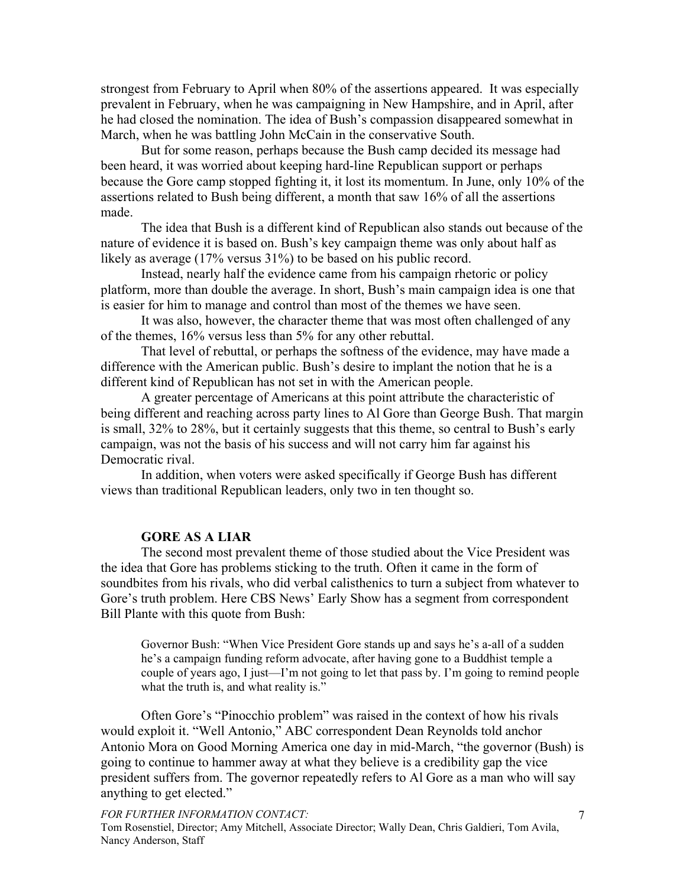strongest from February to April when 80% of the assertions appeared. It was especially prevalent in February, when he was campaigning in New Hampshire, and in April, after he had closed the nomination. The idea of Bush's compassion disappeared somewhat in March, when he was battling John McCain in the conservative South.

But for some reason, perhaps because the Bush camp decided its message had been heard, it was worried about keeping hard-line Republican support or perhaps because the Gore camp stopped fighting it, it lost its momentum. In June, only 10% of the assertions related to Bush being different, a month that saw 16% of all the assertions made.

The idea that Bush is a different kind of Republican also stands out because of the nature of evidence it is based on. Bush's key campaign theme was only about half as likely as average (17% versus 31%) to be based on his public record.

Instead, nearly half the evidence came from his campaign rhetoric or policy platform, more than double the average. In short, Bush's main campaign idea is one that is easier for him to manage and control than most of the themes we have seen.

It was also, however, the character theme that was most often challenged of any of the themes, 16% versus less than 5% for any other rebuttal.

That level of rebuttal, or perhaps the softness of the evidence, may have made a difference with the American public. Bush's desire to implant the notion that he is a different kind of Republican has not set in with the American people.

A greater percentage of Americans at this point attribute the characteristic of being different and reaching across party lines to Al Gore than George Bush. That margin is small, 32% to 28%, but it certainly suggests that this theme, so central to Bush's early campaign, was not the basis of his success and will not carry him far against his Democratic rival.

In addition, when voters were asked specifically if George Bush has different views than traditional Republican leaders, only two in ten thought so.

## **GORE AS A LIAR**

The second most prevalent theme of those studied about the Vice President was the idea that Gore has problems sticking to the truth. Often it came in the form of soundbites from his rivals, who did verbal calisthenics to turn a subject from whatever to Gore's truth problem. Here CBS News' Early Show has a segment from correspondent Bill Plante with this quote from Bush:

Governor Bush: "When Vice President Gore stands up and says he's a-all of a sudden he's a campaign funding reform advocate, after having gone to a Buddhist temple a couple of years ago, I just—I'm not going to let that pass by. I'm going to remind people what the truth is, and what reality is."

Often Gore's "Pinocchio problem" was raised in the context of how his rivals would exploit it. "Well Antonio," ABC correspondent Dean Reynolds told anchor Antonio Mora on Good Morning America one day in mid-March, "the governor (Bush) is going to continue to hammer away at what they believe is a credibility gap the vice president suffers from. The governor repeatedly refers to Al Gore as a man who will say anything to get elected."

#### *FOR FURTHER INFORMATION CONTACT:*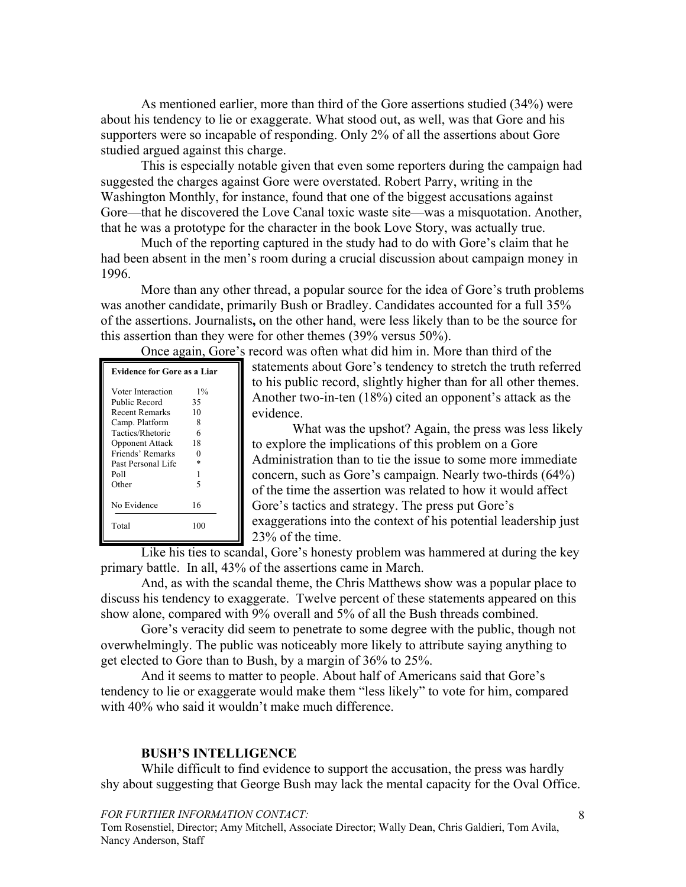As mentioned earlier, more than third of the Gore assertions studied (34%) were about his tendency to lie or exaggerate. What stood out, as well, was that Gore and his supporters were so incapable of responding. Only 2% of all the assertions about Gore studied argued against this charge.

This is especially notable given that even some reporters during the campaign had suggested the charges against Gore were overstated. Robert Parry, writing in the Washington Monthly, for instance, found that one of the biggest accusations against Gore—that he discovered the Love Canal toxic waste site—was a misquotation. Another, that he was a prototype for the character in the book Love Story, was actually true.

Much of the reporting captured in the study had to do with Gore's claim that he had been absent in the men's room during a crucial discussion about campaign money in 1996.

More than any other thread, a popular source for the idea of Gore's truth problems was another candidate, primarily Bush or Bradley. Candidates accounted for a full 35% of the assertions. Journalists**,** on the other hand, were less likely than to be the source for this assertion than they were for other themes (39% versus 50%).

Once again, Gore's record was often what did him in. More than third of the

| <b>Evidence for Gore as a Liar</b> |        |  |  |  |
|------------------------------------|--------|--|--|--|
| Voter Interaction                  | $1\%$  |  |  |  |
| Public Record                      | 35     |  |  |  |
| <b>Recent Remarks</b>              | 10     |  |  |  |
| Camp. Platform                     | 8      |  |  |  |
| Tactics/Rhetoric                   | 6      |  |  |  |
| <b>Opponent Attack</b>             | 18     |  |  |  |
| Friends' Remarks                   | 0      |  |  |  |
| Past Personal Life                 | $\ast$ |  |  |  |
| Poll                               | 1      |  |  |  |
| Other                              | 5      |  |  |  |
| No Evidence                        | 16     |  |  |  |
| Total                              | 100    |  |  |  |

statements about Gore's tendency to stretch the truth referred to his public record, slightly higher than for all other themes. Another two-in-ten (18%) cited an opponent's attack as the evidence.

What was the upshot? Again, the press was less likely to explore the implications of this problem on a Gore Administration than to tie the issue to some more immediate concern, such as Gore's campaign. Nearly two-thirds (64%) of the time the assertion was related to how it would affect Gore's tactics and strategy. The press put Gore's exaggerations into the context of his potential leadership just 23% of the time.

Like his ties to scandal, Gore's honesty problem was hammered at during the key primary battle. In all, 43% of the assertions came in March.

And, as with the scandal theme, the Chris Matthews show was a popular place to discuss his tendency to exaggerate. Twelve percent of these statements appeared on this show alone, compared with 9% overall and 5% of all the Bush threads combined.

Gore's veracity did seem to penetrate to some degree with the public, though not overwhelmingly. The public was noticeably more likely to attribute saying anything to get elected to Gore than to Bush, by a margin of 36% to 25%.

And it seems to matter to people. About half of Americans said that Gore's tendency to lie or exaggerate would make them "less likely" to vote for him, compared with 40% who said it wouldn't make much difference.

# **BUSH'S INTELLIGENCE**

While difficult to find evidence to support the accusation, the press was hardly shy about suggesting that George Bush may lack the mental capacity for the Oval Office.

#### *FOR FURTHER INFORMATION CONTACT:*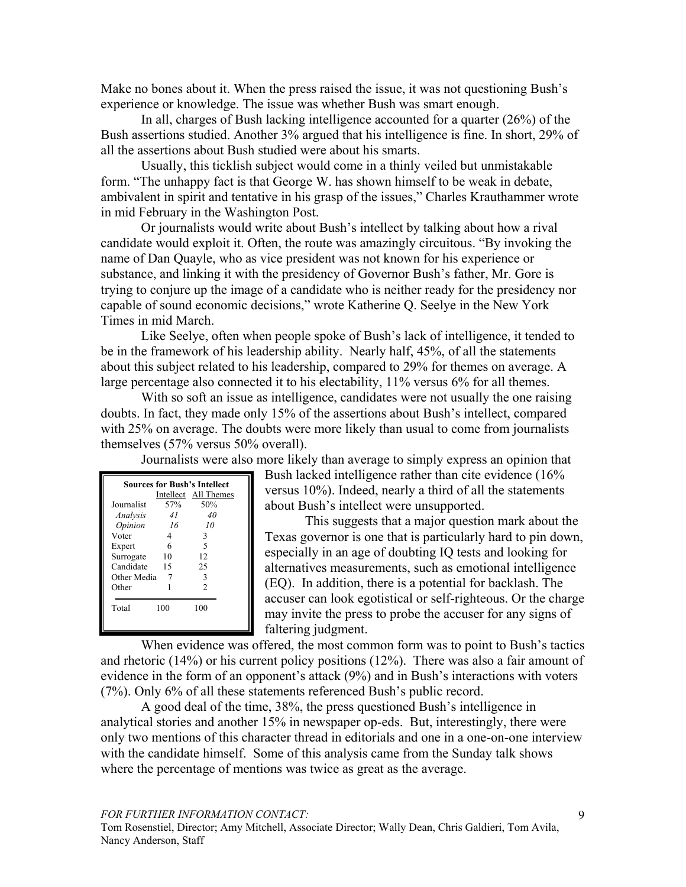Make no bones about it. When the press raised the issue, it was not questioning Bush's experience or knowledge. The issue was whether Bush was smart enough.

In all, charges of Bush lacking intelligence accounted for a quarter (26%) of the Bush assertions studied. Another 3% argued that his intelligence is fine. In short, 29% of all the assertions about Bush studied were about his smarts.

Usually, this ticklish subject would come in a thinly veiled but unmistakable form. "The unhappy fact is that George W. has shown himself to be weak in debate, ambivalent in spirit and tentative in his grasp of the issues," Charles Krauthammer wrote in mid February in the Washington Post.

Or journalists would write about Bush's intellect by talking about how a rival candidate would exploit it. Often, the route was amazingly circuitous. "By invoking the name of Dan Quayle, who as vice president was not known for his experience or substance, and linking it with the presidency of Governor Bush's father, Mr. Gore is trying to conjure up the image of a candidate who is neither ready for the presidency nor capable of sound economic decisions," wrote Katherine Q. Seelye in the New York Times in mid March.

Like Seelye, often when people spoke of Bush's lack of intelligence, it tended to be in the framework of his leadership ability. Nearly half, 45%, of all the statements about this subject related to his leadership, compared to 29% for themes on average. A large percentage also connected it to his electability, 11% versus 6% for all themes.

With so soft an issue as intelligence, candidates were not usually the one raising doubts. In fact, they made only 15% of the assertions about Bush's intellect, compared with 25% on average. The doubts were more likely than usual to come from journalists themselves (57% versus 50% overall).

Journalists were also more likely than average to simply express an opinion that

| <b>Sources for Bush's Intellect</b><br>Intellect All Themes |     |                          |  |  |  |
|-------------------------------------------------------------|-----|--------------------------|--|--|--|
| Journalist                                                  | 57% | 50%                      |  |  |  |
| Analysis                                                    | 41  | 40                       |  |  |  |
| Opinion                                                     | -16 | 10                       |  |  |  |
| Voter                                                       | 4   | 3                        |  |  |  |
| Expert                                                      | 6   | $\overline{\phantom{1}}$ |  |  |  |
| Surrogate                                                   | 10  | 12                       |  |  |  |
| Candidate                                                   | 15  | 25                       |  |  |  |
| Other Media                                                 |     | 3                        |  |  |  |
| Other                                                       |     | $\mathfrak{D}$           |  |  |  |
| Total                                                       | 100 | 100                      |  |  |  |

Bush lacked intelligence rather than cite evidence (16% versus 10%). Indeed, nearly a third of all the statements about Bush's intellect were unsupported.

This suggests that a major question mark about the Texas governor is one that is particularly hard to pin down, especially in an age of doubting IQ tests and looking for alternatives measurements, such as emotional intelligence (EQ). In addition, there is a potential for backlash. The accuser can look egotistical or self-righteous. Or the charge may invite the press to probe the accuser for any signs of faltering judgment.

When evidence was offered, the most common form was to point to Bush's tactics and rhetoric (14%) or his current policy positions (12%). There was also a fair amount of evidence in the form of an opponent's attack (9%) and in Bush's interactions with voters (7%). Only 6% of all these statements referenced Bush's public record.

A good deal of the time, 38%, the press questioned Bush's intelligence in analytical stories and another 15% in newspaper op-eds. But, interestingly, there were only two mentions of this character thread in editorials and one in a one-on-one interview with the candidate himself. Some of this analysis came from the Sunday talk shows where the percentage of mentions was twice as great as the average.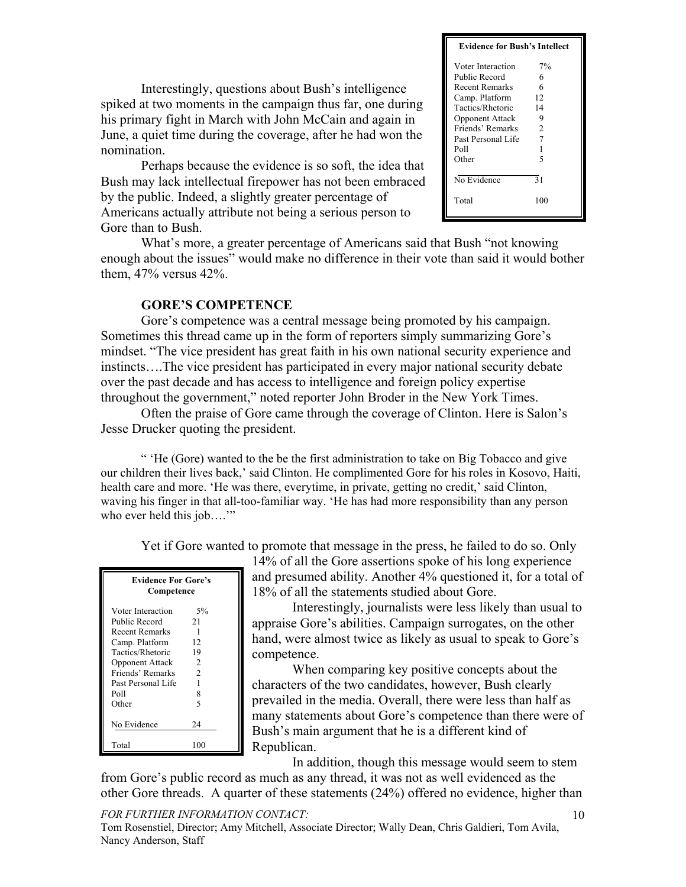Interestingly, questions about Bush's intelligence spiked at two moments in the campaign thus far, one during his primary fight in March with John McCain and again in June, a quiet time during the coverage, after he had won the nomination.

Perhaps because the evidence is so soft, the idea that Bush may lack intellectual firepower has not been embraced by the public. Indeed, a slightly greater percentage of Americans actually attribute not being a serious person to Gore than to Bush.

### **Evidence for Bush's Intellect** Voter Interaction 7% Public Record 6 Recent Remarks 6 Camp. Platform 12 Tactics/Rhetoric 14<br>Opponent Attack 9 Opponent Attack 9<br>Friends' Remarks 2 Friends' Remarks Past Personal Life 7 Poll 1<br>Other 5 Other No Evidence 31 Total 100

What's more, a greater percentage of Americans said that Bush "not knowing enough about the issues" would make no difference in their vote than said it would bother them, 47% versus 42%.

# **GORE'S COMPETENCE**

Gore's competence was a central message being promoted by his campaign. Sometimes this thread came up in the form of reporters simply summarizing Gore's mindset. "The vice president has great faith in his own national security experience and instincts….The vice president has participated in every major national security debate over the past decade and has access to intelligence and foreign policy expertise throughout the government," noted reporter John Broder in the New York Times.

Often the praise of Gore came through the coverage of Clinton. Here is Salon's Jesse Drucker quoting the president.

" 'He (Gore) wanted to the be the first administration to take on Big Tobacco and give our children their lives back,' said Clinton. He complimented Gore for his roles in Kosovo, Haiti, health care and more. 'He was there, everytime, in private, getting no credit,' said Clinton, waving his finger in that all-too-familiar way. 'He has had more responsibility than any person who ever held this job...."

Yet if Gore wanted to promote that message in the press, he failed to do so. Only

| <b>Evidence For Gore's</b><br>Competence |    |  |  |  |
|------------------------------------------|----|--|--|--|
| Voter Interaction                        | 5% |  |  |  |
| Public Record                            | 21 |  |  |  |
| <b>Recent Remarks</b>                    | 1  |  |  |  |
| Camp. Platform                           | 12 |  |  |  |
| Tactics/Rhetoric<br>19                   |    |  |  |  |
| $\overline{c}$<br><b>Opponent Attack</b> |    |  |  |  |
| $\mathfrak{D}$<br>Friends' Remarks       |    |  |  |  |
| Past Personal Life                       |    |  |  |  |
| Poll                                     | 8  |  |  |  |
| Other                                    | 5  |  |  |  |
|                                          |    |  |  |  |
| No Evidence                              | 24 |  |  |  |
|                                          |    |  |  |  |
| Total                                    |    |  |  |  |

14% of all the Gore assertions spoke of his long experience and presumed ability. Another 4% questioned it, for a total of 18% of all the statements studied about Gore.

Interestingly, journalists were less likely than usual to appraise Gore's abilities. Campaign surrogates, on the other hand, were almost twice as likely as usual to speak to Gore's competence.

When comparing key positive concepts about the characters of the two candidates, however, Bush clearly prevailed in the media. Overall, there were less than half as many statements about Gore's competence than there were of Bush's main argument that he is a different kind of Republican.

In addition, though this message would seem to stem

from Gore's public record as much as any thread, it was not as well evidenced as the other Gore threads. A quarter of these statements (24%) offered no evidence, higher than

*FOR FURTHER INFORMATION CONTACT:*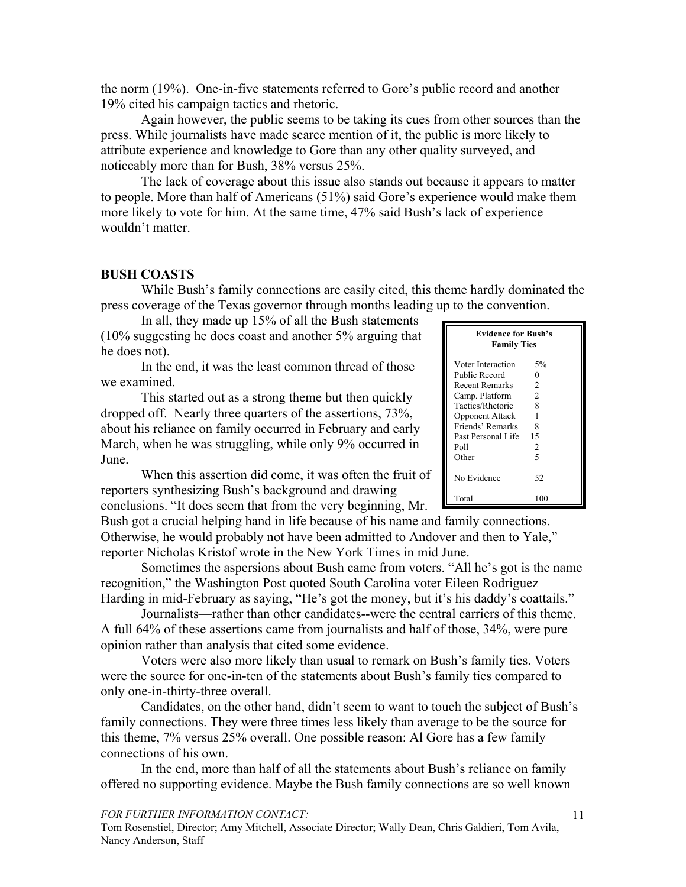the norm (19%). One-in-five statements referred to Gore's public record and another 19% cited his campaign tactics and rhetoric.

Again however, the public seems to be taking its cues from other sources than the press. While journalists have made scarce mention of it, the public is more likely to attribute experience and knowledge to Gore than any other quality surveyed, and noticeably more than for Bush, 38% versus 25%.

The lack of coverage about this issue also stands out because it appears to matter to people. More than half of Americans (51%) said Gore's experience would make them more likely to vote for him. At the same time, 47% said Bush's lack of experience wouldn't matter.

## **BUSH COASTS**

While Bush's family connections are easily cited, this theme hardly dominated the press coverage of the Texas governor through months leading up to the convention.

In all, they made up 15% of all the Bush statements (10% suggesting he does coast and another 5% arguing that he does not).

In the end, it was the least common thread of those we examined.

This started out as a strong theme but then quickly dropped off. Nearly three quarters of the assertions, 73%, about his reliance on family occurred in February and early March, when he was struggling, while only 9% occurred in June.

When this assertion did come, it was often the fruit of reporters synthesizing Bush's background and drawing conclusions. "It does seem that from the very beginning, Mr.

Bush got a crucial helping hand in life because of his name and family connections. Otherwise, he would probably not have been admitted to Andover and then to Yale," reporter Nicholas Kristof wrote in the New York Times in mid June.

Sometimes the aspersions about Bush came from voters. "All he's got is the name recognition," the Washington Post quoted South Carolina voter Eileen Rodriguez Harding in mid-February as saying, "He's got the money, but it's his daddy's coattails."

Journalists—rather than other candidates--were the central carriers of this theme. A full 64% of these assertions came from journalists and half of those, 34%, were pure opinion rather than analysis that cited some evidence.

Voters were also more likely than usual to remark on Bush's family ties. Voters were the source for one-in-ten of the statements about Bush's family ties compared to only one-in-thirty-three overall.

Candidates, on the other hand, didn't seem to want to touch the subject of Bush's family connections. They were three times less likely than average to be the source for this theme, 7% versus 25% overall. One possible reason: Al Gore has a few family connections of his own.

In the end, more than half of all the statements about Bush's reliance on family offered no supporting evidence. Maybe the Bush family connections are so well known

#### *FOR FURTHER INFORMATION CONTACT:*

| <b>Evidence for Bush's</b><br><b>Family Ties</b> |                |  |  |  |
|--------------------------------------------------|----------------|--|--|--|
| Voter Interaction                                | 5%             |  |  |  |
| Public Record                                    | 0              |  |  |  |
| Recent Remarks                                   | 2              |  |  |  |
| Camp. Platform                                   | $\overline{2}$ |  |  |  |
| Tactics/Rhetoric                                 | 8              |  |  |  |
| <b>Opponent Attack</b>                           | 1              |  |  |  |
| Friends' Remarks                                 | 8              |  |  |  |
| Past Personal Life                               | 15             |  |  |  |
| Poll                                             | 2              |  |  |  |
| Other                                            | 5              |  |  |  |
| No Evidence                                      | 52             |  |  |  |
| Total                                            | 100            |  |  |  |
|                                                  |                |  |  |  |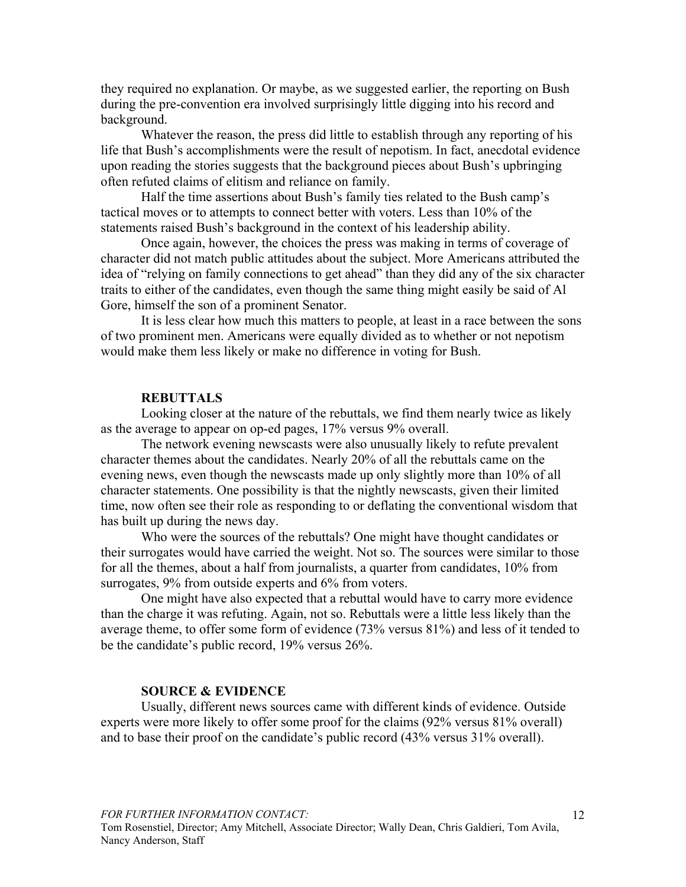they required no explanation. Or maybe, as we suggested earlier, the reporting on Bush during the pre-convention era involved surprisingly little digging into his record and background.

Whatever the reason, the press did little to establish through any reporting of his life that Bush's accomplishments were the result of nepotism. In fact, anecdotal evidence upon reading the stories suggests that the background pieces about Bush's upbringing often refuted claims of elitism and reliance on family.

Half the time assertions about Bush's family ties related to the Bush camp's tactical moves or to attempts to connect better with voters. Less than 10% of the statements raised Bush's background in the context of his leadership ability.

Once again, however, the choices the press was making in terms of coverage of character did not match public attitudes about the subject. More Americans attributed the idea of "relying on family connections to get ahead" than they did any of the six character traits to either of the candidates, even though the same thing might easily be said of Al Gore, himself the son of a prominent Senator.

It is less clear how much this matters to people, at least in a race between the sons of two prominent men. Americans were equally divided as to whether or not nepotism would make them less likely or make no difference in voting for Bush.

#### **REBUTTALS**

Looking closer at the nature of the rebuttals, we find them nearly twice as likely as the average to appear on op-ed pages, 17% versus 9% overall.

The network evening newscasts were also unusually likely to refute prevalent character themes about the candidates. Nearly 20% of all the rebuttals came on the evening news, even though the newscasts made up only slightly more than 10% of all character statements. One possibility is that the nightly newscasts, given their limited time, now often see their role as responding to or deflating the conventional wisdom that has built up during the news day.

Who were the sources of the rebuttals? One might have thought candidates or their surrogates would have carried the weight. Not so. The sources were similar to those for all the themes, about a half from journalists, a quarter from candidates, 10% from surrogates, 9% from outside experts and 6% from voters.

One might have also expected that a rebuttal would have to carry more evidence than the charge it was refuting. Again, not so. Rebuttals were a little less likely than the average theme, to offer some form of evidence (73% versus 81%) and less of it tended to be the candidate's public record, 19% versus 26%.

# **SOURCE & EVIDENCE**

Usually, different news sources came with different kinds of evidence. Outside experts were more likely to offer some proof for the claims (92% versus 81% overall) and to base their proof on the candidate's public record (43% versus 31% overall).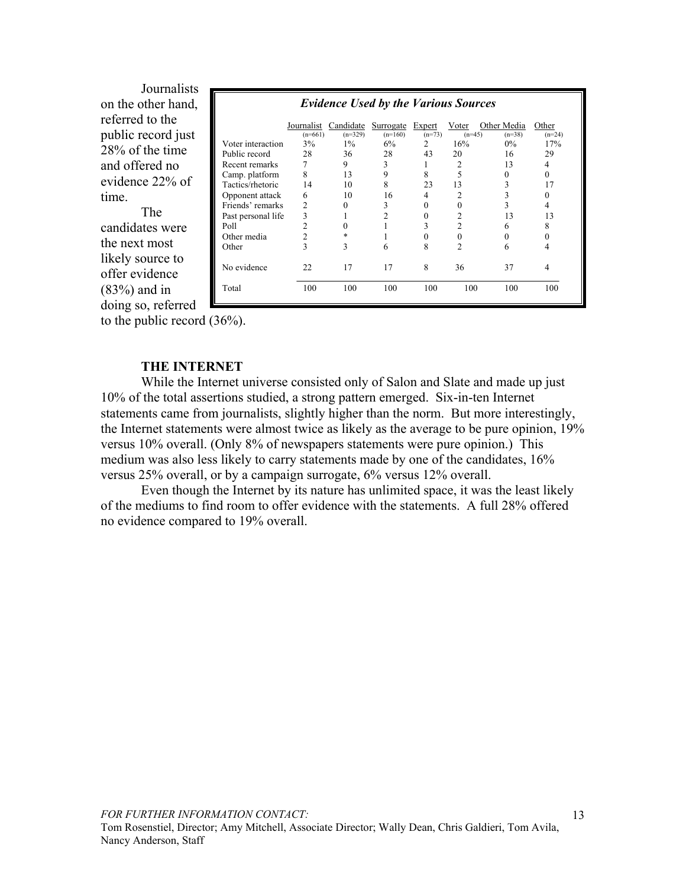Journalists **.** on the other hand, referred to the public record just 28% of the time and offered no evidence 22% of time.

The candidates were the next most likely source to offer evidence (83%) and in doing so, referred

| <b>Evidence Used by the Various Sources</b> |                         |                        |                        |                    |                   |                         |                   |
|---------------------------------------------|-------------------------|------------------------|------------------------|--------------------|-------------------|-------------------------|-------------------|
|                                             | Journalist<br>$(n=661)$ | Candidate<br>$(n=329)$ | Surrogate<br>$(n=160)$ | Expert<br>$(n=73)$ | Voter<br>$(n=45)$ | Other Media<br>$(n=38)$ | Other<br>$(n=24)$ |
| Voter interaction                           | 3%                      | $1\%$                  | 6%                     | 2                  | 16%               | $0\%$                   | 17%               |
| Public record                               | 28                      | 36                     | 28                     | 43                 | 20                | 16                      | 29                |
| Recent remarks                              |                         | 9                      | 3                      |                    | 2                 | 13                      | 4                 |
| Camp. platform                              | 8                       | 13                     | 9                      | 8                  | 5                 | $\theta$                | 0                 |
| Tactics/rhetoric                            | 14                      | 10                     | 8                      | 23                 | 13                | 3                       | 17                |
| Opponent attack                             | 6                       | 10                     | 16                     | 4                  | 2                 | 3                       | 0                 |
| Friends' remarks                            | $\overline{c}$          | $\Omega$               | 3                      | 0                  |                   | 3                       | 4                 |
| Past personal life                          | 3                       |                        | $\mathfrak{D}$         | $\Omega$           | 2                 | 13                      | 13                |
| Poll                                        | $\mathfrak{D}$          | $\Omega$               |                        | 3                  | 2                 | 6                       | 8                 |
| Other media                                 | 2                       | $\ast$                 |                        | 0                  | $\Omega$          | 0                       | 0                 |
| Other                                       | 3                       | 3                      | 6                      | 8                  | 2                 | 6                       | 4                 |
| No evidence                                 | 22                      | 17                     | 17                     | 8                  | 36                | 37                      | 4                 |
| Total                                       | 100                     | 100                    | 100                    | 100                | 100               | 100                     | 100               |

to the public record (36%).

# **THE INTERNET**

While the Internet universe consisted only of Salon and Slate and made up just 10% of the total assertions studied, a strong pattern emerged. Six-in-ten Internet statements came from journalists, slightly higher than the norm. But more interestingly, the Internet statements were almost twice as likely as the average to be pure opinion, 19% versus 10% overall. (Only 8% of newspapers statements were pure opinion.) This medium was also less likely to carry statements made by one of the candidates, 16% versus 25% overall, or by a campaign surrogate, 6% versus 12% overall.

Even though the Internet by its nature has unlimited space, it was the least likely of the mediums to find room to offer evidence with the statements. A full 28% offered no evidence compared to 19% overall.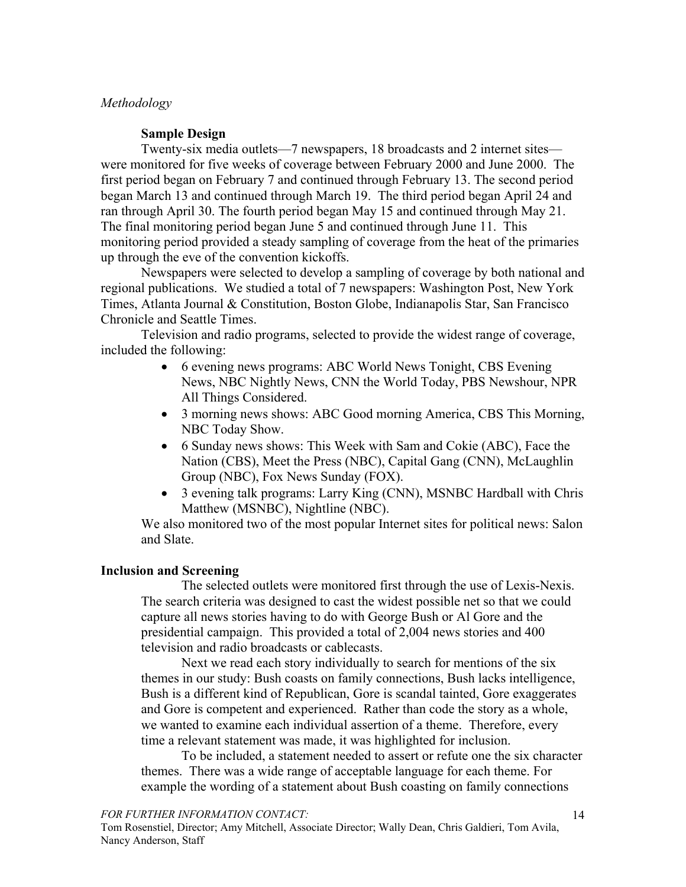## *Methodology*

## **Sample Design**

Twenty-six media outlets—7 newspapers, 18 broadcasts and 2 internet sites were monitored for five weeks of coverage between February 2000 and June 2000. The first period began on February 7 and continued through February 13. The second period began March 13 and continued through March 19. The third period began April 24 and ran through April 30. The fourth period began May 15 and continued through May 21. The final monitoring period began June 5 and continued through June 11. This monitoring period provided a steady sampling of coverage from the heat of the primaries up through the eve of the convention kickoffs.

Newspapers were selected to develop a sampling of coverage by both national and regional publications. We studied a total of 7 newspapers: Washington Post, New York Times, Atlanta Journal & Constitution, Boston Globe, Indianapolis Star, San Francisco Chronicle and Seattle Times.

Television and radio programs, selected to provide the widest range of coverage, included the following:

- 6 evening news programs: ABC World News Tonight, CBS Evening News, NBC Nightly News, CNN the World Today, PBS Newshour, NPR All Things Considered.
- 3 morning news shows: ABC Good morning America, CBS This Morning, NBC Today Show.
- 6 Sunday news shows: This Week with Sam and Cokie (ABC), Face the Nation (CBS), Meet the Press (NBC), Capital Gang (CNN), McLaughlin Group (NBC), Fox News Sunday (FOX).
- 3 evening talk programs: Larry King (CNN), MSNBC Hardball with Chris Matthew (MSNBC), Nightline (NBC).

We also monitored two of the most popular Internet sites for political news: Salon and Slate.

## **Inclusion and Screening**

The selected outlets were monitored first through the use of Lexis-Nexis. The search criteria was designed to cast the widest possible net so that we could capture all news stories having to do with George Bush or Al Gore and the presidential campaign. This provided a total of 2,004 news stories and 400 television and radio broadcasts or cablecasts.

Next we read each story individually to search for mentions of the six themes in our study: Bush coasts on family connections, Bush lacks intelligence, Bush is a different kind of Republican, Gore is scandal tainted, Gore exaggerates and Gore is competent and experienced. Rather than code the story as a whole, we wanted to examine each individual assertion of a theme. Therefore, every time a relevant statement was made, it was highlighted for inclusion.

To be included, a statement needed to assert or refute one the six character themes. There was a wide range of acceptable language for each theme. For example the wording of a statement about Bush coasting on family connections

*FOR FURTHER INFORMATION CONTACT:*